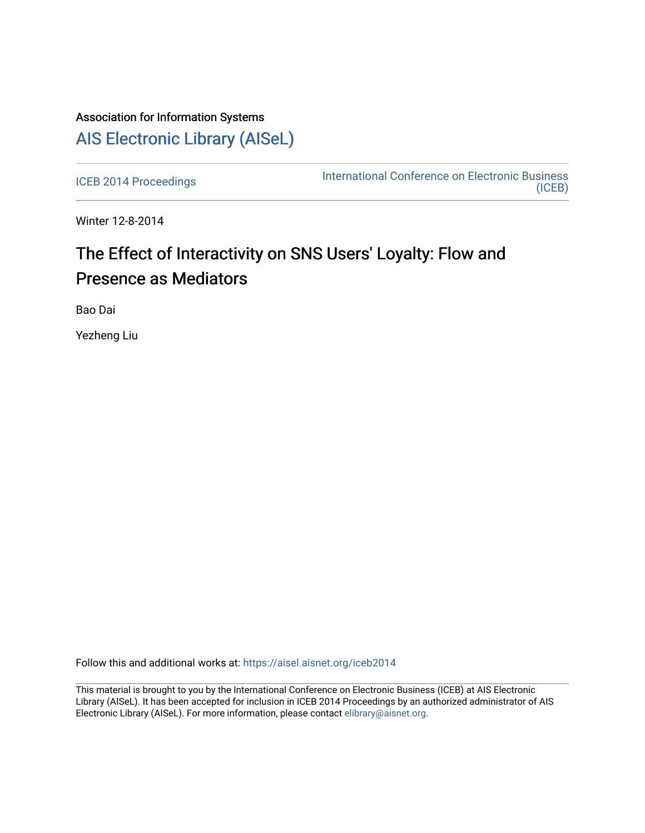## Association for Information Systems [AIS Electronic Library \(AISeL\)](https://aisel.aisnet.org/)

[ICEB 2014 Proceedings](https://aisel.aisnet.org/iceb2014) **International Conference on Electronic Business** [\(ICEB\)](https://aisel.aisnet.org/iceb) 

Winter 12-8-2014

# The Effect of Interactivity on SNS Users' Loyalty: Flow and Presence as Mediators

Bao Dai

Yezheng Liu

Follow this and additional works at: [https://aisel.aisnet.org/iceb2014](https://aisel.aisnet.org/iceb2014?utm_source=aisel.aisnet.org%2Ficeb2014%2F17&utm_medium=PDF&utm_campaign=PDFCoverPages)

This material is brought to you by the International Conference on Electronic Business (ICEB) at AIS Electronic Library (AISeL). It has been accepted for inclusion in ICEB 2014 Proceedings by an authorized administrator of AIS Electronic Library (AISeL). For more information, please contact [elibrary@aisnet.org.](mailto:elibrary@aisnet.org%3E)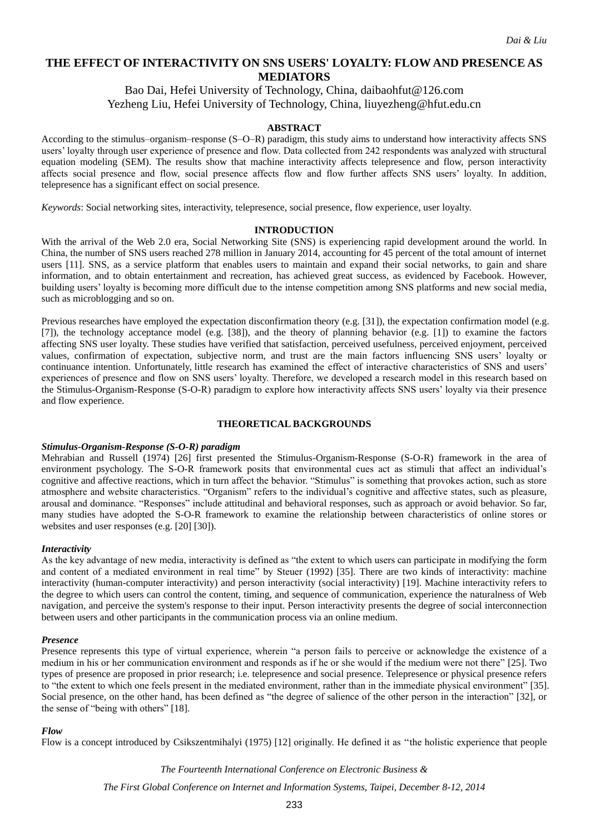## **THE EFFECT OF INTERACTIVITY ON SNS USERS' LOYALTY: FLOW AND PRESENCE AS MEDIATORS**

## Bao Dai, Hefei University of Technology, China, daibaohfut@126.com Yezheng Liu, Hefei University of Technology, China, liuyezheng@hfut.edu.cn

#### **ABSTRACT**

According to the stimulus–organism–response (S–O–R) paradigm, this study aims to understand how interactivity affects SNS users' loyalty through user experience of presence and flow. Data collected from 242 respondents was analyzed with structural equation modeling (SEM). The results show that machine interactivity affects telepresence and flow, person interactivity affects social presence and flow, social presence affects flow and flow further affects SNS users' loyalty. In addition, telepresence has a significant effect on social presence.

*Keywords*: Social networking sites, interactivity, telepresence, social presence, flow experience, user loyalty.

#### **INTRODUCTION**

With the arrival of the Web 2.0 era, Social Networking Site (SNS) is experiencing rapid development around the world. In China, the number of SNS users reached 278 million in January 2014, accounting for 45 percent of the total amount of internet users [11]. SNS, as a service platform that enables users to maintain and expand their social networks, to gain and share information, and to obtain entertainment and recreation, has achieved great success, as evidenced by Facebook. However, building users' loyalty is becoming more difficult due to the intense competition among SNS platforms and new social media, such as microblogging and so on.

Previous researches have employed the expectation disconfirmation theory (e.g. [31]), the expectation confirmation model (e.g. [7]), the technology acceptance model (e.g. [38]), and the theory of planning behavior (e.g. [1]) to examine the factors affecting SNS user loyalty. These studies have verified that satisfaction, perceived usefulness, perceived enjoyment, perceived values, confirmation of expectation, subjective norm, and trust are the main factors influencing SNS users' loyalty or continuance intention. Unfortunately, little research has examined the effect of interactive characteristics of SNS and users' experiences of presence and flow on SNS users' loyalty. Therefore, we developed a research model in this research based on the Stimulus-Organism-Response (S-O-R) paradigm to explore how interactivity affects SNS users' loyalty via their presence and flow experience.

#### **THEORETICAL BACKGROUNDS**

#### *Stimulus-Organism-Response (S-O-R) paradigm*

Mehrabian and Russell (1974) [26] first presented the Stimulus-Organism-Response (S-O-R) framework in the area of environment psychology. The S-O-R framework posits that environmental cues act as stimuli that affect an individual's cognitive and affective reactions, which in turn affect the behavior. "Stimulus" is something that provokes action, such as store atmosphere and website characteristics. "Organism" refers to the individual's cognitive and affective states, such as pleasure, arousal and dominance. "Responses" include attitudinal and behavioral responses, such as approach or avoid behavior. So far, many studies have adopted the S-O-R framework to examine the relationship between characteristics of online stores or websites and user responses (e.g. [20] [30]).

#### *Interactivity*

As the key advantage of new media, interactivity is defined as "the extent to which users can participate in modifying the form and content of a mediated environment in real time" by Steuer (1992) [35]. There are two kinds of interactivity: machine interactivity (human-computer interactivity) and person interactivity (social interactivity) [19]. Machine interactivity refers to the degree to which users can control the content, timing, and sequence of communication, experience the naturalness of Web navigation, and perceive the system's response to their input. Person interactivity presents the degree of social interconnection between users and other participants in the communication process via an online medium.

#### *Presence*

Presence represents this type of virtual experience, wherein "a person fails to perceive or acknowledge the existence of a medium in his or her communication environment and responds as if he or she would if the medium were not there" [25]. Two types of presence are proposed in prior research; i.e. telepresence and social presence. Telepresence or physical presence refers to "the extent to which one feels present in the mediated environment, rather than in the immediate physical environment" [35]. Social presence, on the other hand, has been defined as "the degree of salience of the other person in the interaction" [32], or the sense of "being with others" [18].

#### *Flow*

Flow is a concept introduced by Csikszentmihalyi (1975) [12] originally. He defined it as ''the holistic experience that people

*The Fourteenth International Conference on Electronic Business &*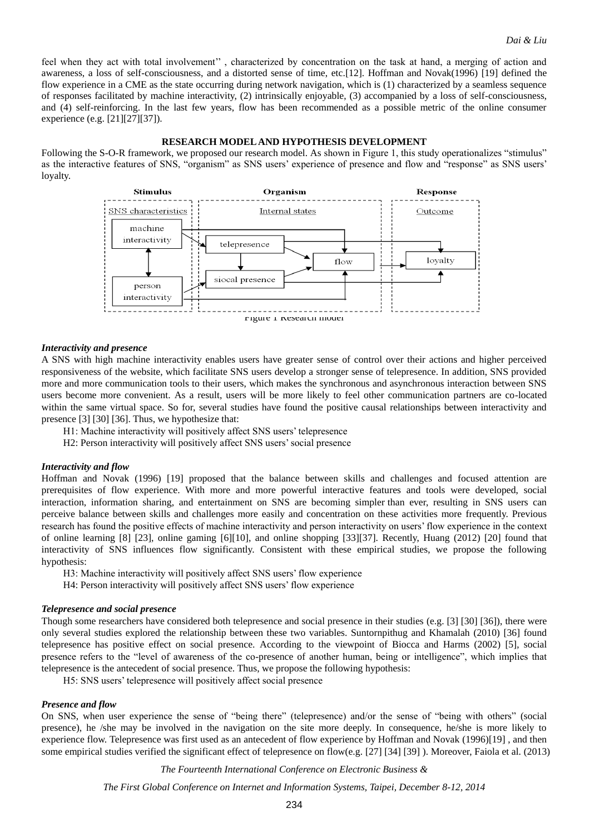feel when they act with total involvement'' , characterized by concentration on the task at hand, a merging of action and awareness, a loss of self-consciousness, and a distorted sense of time, etc.[12]. Hoffman and Novak(1996) [19] defined the flow experience in a CME as the state occurring during network navigation, which is (1) characterized by a seamless sequence of responses facilitated by machine interactivity, (2) intrinsically enjoyable, (3) accompanied by a loss of self-consciousness, and (4) self-reinforcing. In the last few years, flow has been recommended as a possible metric of the online consumer experience (e.g. [21][27][37]).

#### **RESEARCH MODEL AND HYPOTHESIS DEVELOPMENT**

Following the S-O-R framework, we proposed our research model. As shown in Figure 1, this study operationalizes "stimulus" as the interactive features of SNS, "organism" as SNS users' experience of presence and flow and "response" as SNS users' loyalty.



#### *Interactivity and presence*

A SNS with high machine interactivity enables users have greater sense of control over their actions and higher perceived responsiveness of the website, which facilitate SNS users develop a stronger sense of telepresence. In addition, SNS provided more and more communication tools to their users, which makes the synchronous and asynchronous interaction between SNS users become more convenient. As a result, users will be more likely to feel other communication partners are co-located within the same virtual space. So for, several studies have found the positive causal relationships between interactivity and presence [3] [30] [36]. Thus, we hypothesize that:

- H1: Machine interactivity will positively affect SNS users' telepresence
- H2: Person interactivity will positively affect SNS users' social presence

#### *Interactivity and flow*

Hoffman and Novak (1996) [19] proposed that the balance between skills and challenges and focused attention are prerequisites of flow experience. With more and more powerful interactive features and tools were developed, social interaction, information sharing, and entertainment on SNS are becoming simpler than ever, resulting in SNS users can perceive balance between skills and challenges more easily and concentration on these activities more frequently. Previous research has found the positive effects of machine interactivity and person interactivity on users' flow experience in the context of online learning [8] [23], online gaming [6][10], and online shopping [33][37]. Recently, Huang (2012) [20] found that interactivity of SNS influences flow significantly. Consistent with these empirical studies, we propose the following hypothesis:

H3: Machine interactivity will positively affect SNS users' flow experience

H4: Person interactivity will positively affect SNS users' flow experience

#### *Telepresence and social presence*

Though some researchers have considered both telepresence and social presence in their studies (e.g. [3] [30] [36]), there were only several studies explored the relationship between these two variables. Suntornpithug and Khamalah (2010) [36] found telepresence has positive effect on social presence. According to the viewpoint of Biocca and Harms (2002) [5], social presence refers to the "level of awareness of the co-presence of another human, being or intelligence", which implies that telepresence is the antecedent of social presence. Thus, we propose the following hypothesis:

H5: SNS users' telepresence will positively affect social presence

#### *Presence and flow*

On SNS, when user experience the sense of "being there" (telepresence) and/or the sense of "being with others" (social presence), he /she may be involved in the navigation on the site more deeply. In consequence, he/she is more likely to experience flow. Telepresence was first used as an antecedent of flow experience by Hoffman and Novak (1996)[19] , and then some empirical studies verified the significant effect of telepresence on flow(e.g. [27] [34] [39] ). Moreover, Faiola et al. (2013)

*The Fourteenth International Conference on Electronic Business &*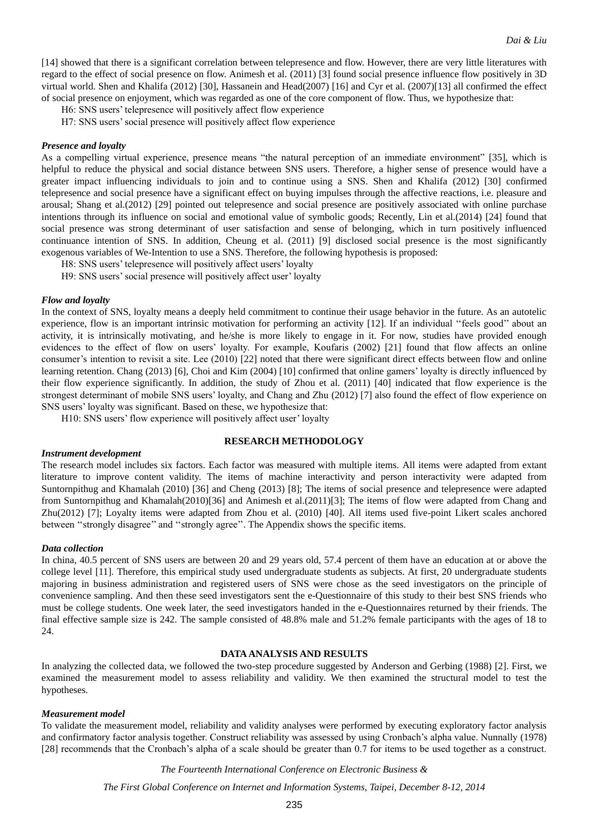[14] showed that there is a significant correlation between telepresence and flow. However, there are very little literatures with regard to the effect of social presence on flow. Animesh et al. (2011) [3] found social presence influence flow positively in 3D virtual world. Shen and Khalifa (2012) [30], Hassanein and Head(2007) [16] and Cyr et al. (2007)[13] all confirmed the effect of social presence on enjoyment, which was regarded as one of the core component of flow. Thus, we hypothesize that:

H6: SNS users' telepresence will positively affect flow experience

H7: SNS users' social presence will positively affect flow experience

#### *Presence and loyalty*

As a compelling virtual experience, presence means "the natural perception of an immediate environment" [35], which is helpful to reduce the physical and social distance between SNS users. Therefore, a higher sense of presence would have a greater impact influencing individuals to join and to continue using a SNS. Shen and Khalifa (2012) [30] confirmed telepresence and social presence have a significant effect on buying impulses through the affective reactions, i.e. pleasure and arousal; Shang et al.(2012) [29] pointed out telepresence and social presence are positively associated with online purchase intentions through its influence on social and emotional value of symbolic goods; Recently, Lin et al.(2014) [24] found that social presence was strong determinant of user satisfaction and sense of belonging, which in turn positively influenced continuance intention of SNS. In addition, Cheung et al. (2011) [9] disclosed social presence is the most significantly exogenous variables of We-Intention to use a SNS. Therefore, the following hypothesis is proposed:

H8: SNS users' telepresence will positively affect users' loyalty

H9: SNS users' social presence will positively affect user' loyalty

#### *Flow and loyalty*

In the context of SNS, loyalty means a deeply held commitment to continue their usage behavior in the future. As an autotelic experience, flow is an important intrinsic motivation for performing an activity [12]. If an individual ''feels good'' about an activity, it is intrinsically motivating, and he/she is more likely to engage in it. For now, studies have provided enough evidences to the effect of flow on users' loyalty. For example, Koufaris (2002) [21] found that flow affects an online consumer's intention to revisit a site. Lee (2010) [22] noted that there were significant direct effects between flow and online learning retention. Chang (2013) [6], Choi and Kim (2004) [10] confirmed that online gamers' loyalty is directly influenced by their flow experience significantly. In addition, the study of Zhou et al. (2011) [40] indicated that flow experience is the strongest determinant of mobile SNS users' loyalty, and Chang and Zhu (2012) [7] also found the effect of flow experience on SNS users' loyalty was significant. Based on these, we hypothesize that:

H10: SNS users' flow experience will positively affect user' loyalty

#### **RESEARCH METHODOLOGY**

#### *Instrument development*

The research model includes six factors. Each factor was measured with multiple items. All items were adapted from extant literature to improve content validity. The items of machine interactivity and person interactivity were adapted from Suntornpithug and Khamalah (2010) [36] and Cheng (2013) [8]; The items of social presence and telepresence were adapted from Suntornpithug and Khamalah(2010)[36] and Animesh et al.(2011)[3]; The items of flow were adapted from Chang and Zhu(2012) [7]; Loyalty items were adapted from Zhou et al. (2010) [40]. All items used five-point Likert scales anchored between ''strongly disagree'' and ''strongly agree''. The Appendix shows the specific items.

#### *Data collection*

In china, 40.5 percent of SNS users are between 20 and 29 years old, 57.4 percent of them have an education at or above the college level [11]. Therefore, this empirical study used undergraduate students as subjects. At first, 20 undergraduate students majoring in business administration and registered users of SNS were chose as the seed investigators on the principle of convenience sampling. And then these seed investigators sent the e-Questionnaire of this study to their best SNS friends who must be college students. One week later, the seed investigators handed in the e-Questionnaires returned by their friends. The final effective sample size is 242. The sample consisted of 48.8% male and 51.2% female participants with the ages of 18 to 24.

#### **DATA ANALYSIS AND RESULTS**

In analyzing the collected data, we followed the two-step procedure suggested by Anderson and Gerbing (1988) [2]. First, we examined the measurement model to assess reliability and validity. We then examined the structural model to test the hypotheses.

#### *Measurement model*

To validate the measurement model, reliability and validity analyses were performed by executing exploratory factor analysis and confirmatory factor analysis together. Construct reliability was assessed by using Cronbach's alpha value. Nunnally (1978) [28] recommends that the Cronbach's alpha of a scale should be greater than 0.7 for items to be used together as a construct.

*The Fourteenth International Conference on Electronic Business &*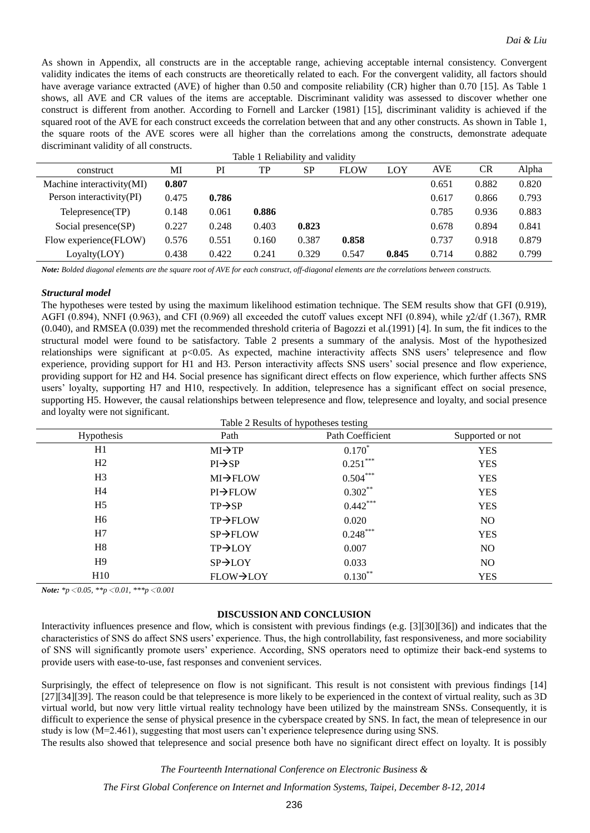As shown in Appendix, all constructs are in the acceptable range, achieving acceptable internal consistency. Convergent validity indicates the items of each constructs are theoretically related to each. For the convergent validity, all factors should have average variance extracted (AVE) of higher than 0.50 and composite reliability (CR) higher than 0.70 [15]. As Table 1 shows, all AVE and CR values of the items are acceptable. Discriminant validity was assessed to discover whether one construct is different from another. According to Fornell and Larcker (1981) [15], discriminant validity is achieved if the squared root of the AVE for each construct exceeds the correlation between that and any other constructs. As shown in Table 1, the square roots of the AVE scores were all higher than the correlations among the constructs, demonstrate adequate discriminant validity of all constructs.  $T_{\rm max}$  1  $T_{\rm max}$  and valid values

| Table 1 Reliability and validity |       |       |           |             |       |            |       |       |
|----------------------------------|-------|-------|-----------|-------------|-------|------------|-------|-------|
| MI                               | PI    | TP    | <b>SP</b> | <b>FLOW</b> | LOY   | <b>AVE</b> | CR    | Alpha |
| 0.807                            |       |       |           |             |       | 0.651      | 0.882 | 0.820 |
| 0.475                            | 0.786 |       |           |             |       | 0.617      | 0.866 | 0.793 |
| 0.148                            | 0.061 | 0.886 |           |             |       | 0.785      | 0.936 | 0.883 |
| 0.227                            | 0.248 | 0.403 | 0.823     |             |       | 0.678      | 0.894 | 0.841 |
| 0.576                            | 0.551 | 0.160 | 0.387     | 0.858       |       | 0.737      | 0.918 | 0.879 |
| 0.438                            | 0.422 | 0.241 | 0.329     | 0.547       | 0.845 | 0.714      | 0.882 | 0.799 |
|                                  |       |       |           |             |       |            |       |       |

*Note: Bolded diagonal elements are the square root of AVE for each construct, off-diagonal elements are the correlations between constructs.*

#### *Structural model*

The hypotheses were tested by using the maximum likelihood estimation technique. The SEM results show that GFI (0.919), AGFI (0.894), NNFI (0.963), and CFI (0.969) all exceeded the cutoff values except NFI (0.894), while  $\chi$ 2/df (1.367), RMR (0.040), and RMSEA (0.039) met the recommended threshold criteria of Bagozzi et al.(1991) [4]. In sum, the fit indices to the structural model were found to be satisfactory. Table 2 presents a summary of the analysis. Most of the hypothesized relationships were significant at  $p<0.05$ . As expected, machine interactivity affects SNS users' telepresence and flow experience, providing support for H1 and H3. Person interactivity affects SNS users' social presence and flow experience, providing support for H2 and H4. Social presence has significant direct effects on flow experience, which further affects SNS users' loyalty, supporting H7 and H10, respectively. In addition, telepresence has a significant effect on social presence, supporting H5. However, the causal relationships between telepresence and flow, telepresence and loyalty, and social presence and loyalty were not significant.  $T$ 

| Hypothesis     | Path                  | Path Coefficient | Supported or not |
|----------------|-----------------------|------------------|------------------|
| H1             | $MI \rightarrow TP$   | $0.170*$         | <b>YES</b>       |
| H2             | $PI \rightarrow SP$   | $0.251***$       | <b>YES</b>       |
| H <sub>3</sub> | $MI \rightarrow FLOW$ | $0.504***$       | <b>YES</b>       |
| H4             | $PI \rightarrow FLOW$ | $0.302***$       | <b>YES</b>       |
| H <sub>5</sub> | $TP \rightarrow SP$   | $0.442***$       | <b>YES</b>       |
| H <sub>6</sub> | TP→FLOW               | 0.020            | NO.              |
| H7             | $SP \rightarrow FLOW$ | $0.248***$       | <b>YES</b>       |
| H8             | $TP \rightarrow LOY$  | 0.007            | N <sub>O</sub>   |
| H9             | $SP \rightarrow LOY$  | 0.033            | NO.              |
| H10            | FLOW→LOY              | $0.130**$        | <b>YES</b>       |

*Note: \*p*<*0.05, \*\*p*<*0.01, \*\*\*p*<*0.001*

#### **DISCUSSION AND CONCLUSION**

Interactivity influences presence and flow, which is consistent with previous findings (e.g. [3][30][36]) and indicates that the characteristics of SNS do affect SNS users' experience. Thus, the high controllability, fast responsiveness, and more sociability of SNS will significantly promote users' experience. According, SNS operators need to optimize their back-end systems to provide users with ease-to-use, fast responses and convenient services.

Surprisingly, the effect of telepresence on flow is not significant. This result is not consistent with previous findings [14] [27][34][39]. The reason could be that telepresence is more likely to be experienced in the context of virtual reality, such as 3D virtual world, but now very little virtual reality technology have been utilized by the mainstream SNSs. Consequently, it is difficult to experience the sense of physical presence in the cyberspace created by SNS. In fact, the mean of telepresence in our study is low (M=2.461), suggesting that most users can't experience telepresence during using SNS.

The results also showed that telepresence and social presence both have no significant direct effect on loyalty. It is possibly

#### *The Fourteenth International Conference on Electronic Business &*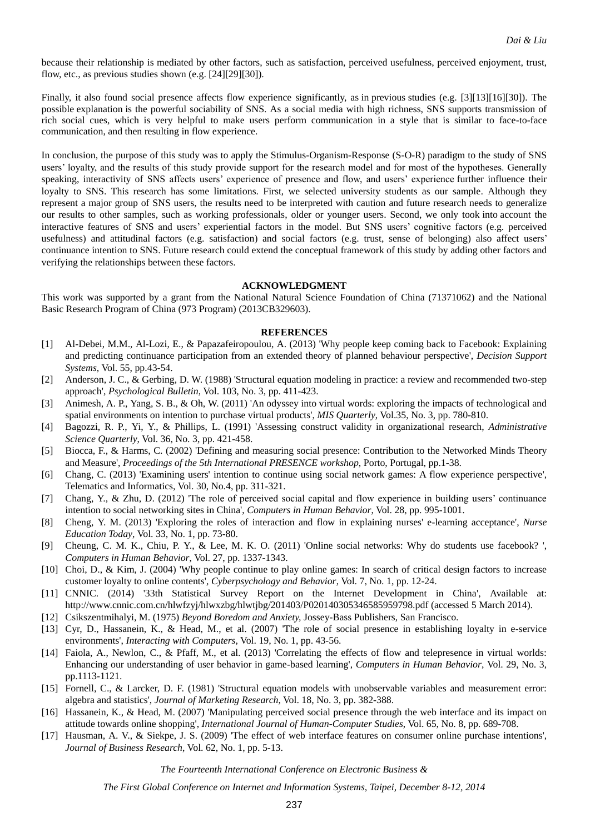because their relationship is mediated by other factors, such as satisfaction, perceived usefulness, perceived enjoyment, trust, flow, etc., as previous studies shown (e.g. [24][29][30]).

Finally, it also found social presence affects flow experience significantly, as in previous studies (e.g. [3][13][16][30]). The possible explanation is the powerful sociability of SNS. As a social media with high richness, SNS supports transmission of rich social cues, which is very helpful to make users perform communication in a style that is similar to face-to-face communication, and then resulting in flow experience.

In conclusion, the purpose of this study was to apply the Stimulus-Organism-Response (S-O-R) paradigm to the study of SNS users' loyalty, and the results of this study provide support for the research model and for most of the hypotheses. Generally speaking, interactivity of SNS affects users' experience of presence and flow, and users' experience further influence their loyalty to SNS. This research has some limitations. First, we selected university students as our sample. Although they represent a major group of SNS users, the results need to be interpreted with caution and future research needs to generalize our results to other samples, such as working professionals, older or younger users. Second, we only took into account the interactive features of SNS and users' experiential factors in the model. But SNS users' cognitive factors (e.g. perceived usefulness) and attitudinal factors (e.g. satisfaction) and social factors (e.g. trust, sense of belonging) also affect users' continuance intention to SNS. Future research could extend the conceptual framework of this study by adding other factors and verifying the relationships between these factors.

#### **ACKNOWLEDGMENT**

This work was supported by a grant from the National Natural Science Foundation of China (71371062) and the National Basic Research Program of China (973 Program) (2013CB329603).

#### **REFERENCES**

- [1] Al-Debei, M.M., Al-Lozi, E., & Papazafeiropoulou, A. (2013) 'Why people keep coming back to Facebook: Explaining and predicting continuance participation from an extended theory of planned behaviour perspective', *Decision Support Systems,* Vol. 55, pp.43-54.
- [2] Anderson, J. C., & Gerbing, D. W. (1988) 'Structural equation modeling in practice: a review and recommended two-step approach', *Psychological Bulletin*, Vol. 103, No. 3, pp. 411-423.
- [3] Animesh, A. P., Yang, S. B., & Oh, W. (2011) 'An odyssey into virtual words: exploring the impacts of technological and spatial environments on intention to purchase virtual products', *MIS Quarterly*, Vol.35, No. 3, pp. 780-810.
- [4] Bagozzi, R. P., Yi, Y., & Phillips, L. (1991) 'Assessing construct validity in organizational research, *Administrative Science Quarterly*, Vol. 36, No. 3, pp. 421-458.
- [5] Biocca, F., & Harms, C. (2002) 'Defining and measuring social presence: Contribution to the Networked Minds Theory and Measure', *Proceedings of the 5th International PRESENCE workshop*, Porto, Portugal, pp.1-38.
- [6] Chang, C. (2013) 'Examining users' intention to continue using social network games: A flow experience perspective', Telematics and Informatics, Vol. 30, No.4, pp. 311-321.
- [7] Chang, Y., & Zhu, D. (2012) 'The role of perceived social capital and flow experience in building users' continuance intention to social networking sites in China', *Computers in Human Behavior*, Vol. 28, pp. 995-1001.
- [8] Cheng, Y. M. (2013) 'Exploring the roles of interaction and flow in explaining nurses' e-learning acceptance', *Nurse Education Today*, Vol. 33, No. 1, pp. 73-80.
- [9] Cheung, C. M. K., Chiu, P. Y., & Lee, M. K. O. (2011) 'Online social networks: Why do students use facebook? ', *Computers in Human Behavior*, Vol. 27, pp. 1337-1343.
- [10] Choi, D., & Kim, J. (2004) 'Why people continue to play online games: In search of critical design factors to increase customer loyalty to online contents', *Cyberpsychology and Behavior*, Vol. 7, No. 1, pp. 12-24.
- [11] CNNIC. (2014) '33th Statistical Survey Report on the Internet Development in China', Available at: http://www.cnnic.com.cn/hlwfzyj/hlwxzbg/hlwtjbg/201403/P020140305346585959798.pdf (accessed 5 March 2014).
- [12] Csikszentmihalyi, M. (1975) *Beyond Boredom and Anxiety,* Jossey-Bass Publishers, San Francisco.
- [13] Cyr, D., Hassanein, K., & Head, M., et al. (2007) 'The role of social presence in establishing loyalty in e-service environments', *Interacting with Computers*, Vol. 19, No. 1, pp. 43-56.
- [14] Faiola, A., Newlon, C., & Pfaff, M., et al. (2013) 'Correlating the effects of flow and telepresence in virtual worlds: Enhancing our understanding of user behavior in game-based learning', *Computers in Human Behavior*, Vol. 29, No. 3, pp.1113-1121.
- [15] Fornell, C., & Larcker, D. F. (1981) 'Structural equation models with unobservable variables and measurement error: algebra and statistics', *Journal of Marketing Research*, Vol. 18, No. 3, pp. 382-388.
- [16] Hassanein, K., & Head, M. (2007) 'Manipulating perceived social presence through the web interface and its impact on attitude towards online shopping', *International Journal of Human-Computer Studies*, Vol. 65, No. 8, pp. 689-708.
- [17] Hausman, A. V., & Siekpe, J. S. (2009) 'The effect of web interface features on consumer online purchase intentions', *Journal of Business Research*, Vol. 62, No. 1, pp. 5-13.

*The Fourteenth International Conference on Electronic Business &*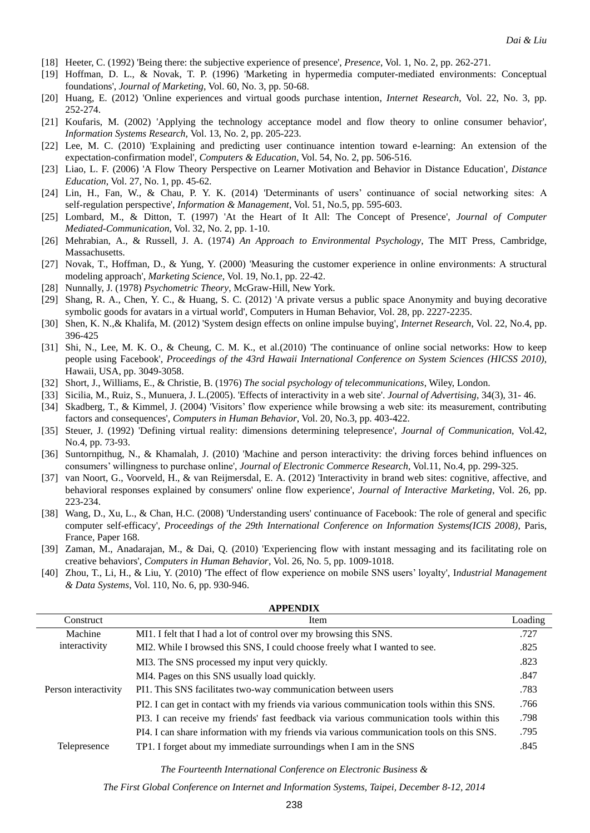- [18] Heeter, C. (1992) 'Being there: the subjective experience of presence', *Presence*, Vol. 1, No. 2, pp. 262-271.
- [19] Hoffman, D. L., & Novak, T. P. (1996) 'Marketing in hypermedia computer-mediated environments: Conceptual foundations', *Journal of Marketing*, Vol. 60, No. 3, pp. 50-68.
- [20] Huang, E. (2012) 'Online experiences and virtual goods purchase intention, *Internet Research*, Vol. 22, No. 3, pp. 252-274.
- [21] Koufaris, M. (2002) 'Applying the technology acceptance model and flow theory to online consumer behavior', *Information Systems Research,* Vol. 13, No. 2, pp. 205-223.
- [22] Lee, M. C. (2010) 'Explaining and predicting user continuance intention toward e-learning: An extension of the expectation-confirmation model', *Computers & Education*, Vol. 54, No. 2, pp. 506-516.
- [23] Liao, L. F. (2006) 'A Flow Theory Perspective on Learner Motivation and Behavior in Distance Education', *Distance Education*, Vol. 27, No. 1, pp. 45-62.
- [24] Lin, H., Fan, W., & Chau, P. Y. K. (2014) 'Determinants of users' continuance of social networking sites: A self-regulation perspective', *Information & Management*, Vol. 51, No.5, pp. 595-603.
- [25] Lombard, M., & Ditton, T. (1997) 'At the Heart of It All: The Concept of Presence', *Journal of Computer Mediated-Communication*, Vol. 32, No. 2, pp. 1-10.
- [26] Mehrabian, A., & Russell, J. A. (1974) *An Approach to Environmental Psychology*, The MIT Press, Cambridge, Massachusetts.
- [27] Novak, T., Hoffman, D., & Yung, Y. (2000) 'Measuring the customer experience in online environments: A structural modeling approach', *Marketing Science*, Vol. 19, No.1, pp. 22-42.
- [28] Nunnally, J. (1978) *Psychometric Theory*, McGraw-Hill, New York.
- [29] Shang, R. A., Chen, Y. C., & Huang, S. C. (2012) 'A private versus a public space Anonymity and buying decorative symbolic goods for avatars in a virtual world', Computers in Human Behavior, Vol. 28, pp. 2227-2235.
- [30] Shen, K. N.,& Khalifa, M. (2012) 'System design effects on online impulse buying', *Internet Research*, Vol. 22, No.4, pp. 396-425
- [31] Shi, N., Lee, M. K. O., & Cheung, C. M. K., et al.(2010) 'The continuance of online social networks: How to keep people using Facebook', *Proceedings of the 43rd Hawaii International Conference on System Sciences (HICSS 2010)*, Hawaii, USA, pp. 3049-3058.
- [32] Short, J., Williams, E., & Christie, B. (1976) *The social psychology of telecommunications*, Wiley, London.
- [33] Sicilia, M., Ruiz, S., Munuera, J. L.(2005). 'Effects of interactivity in a web site'. *Journal of Advertising*, 34(3), 31- 46.
- [34] Skadberg, T., & Kimmel, J. (2004) 'Visitors' flow experience while browsing a web site: its measurement, contributing factors and consequences', *Computers in Human Behavior*, Vol. 20, No.3, pp. 403-422.
- [35] Steuer, J. (1992) 'Defining virtual reality: dimensions determining telepresence', *Journal of Communication*, Vol.42, No.4, pp. 73-93.
- [36] Suntornpithug, N., & Khamalah, J. (2010) 'Machine and person interactivity: the driving forces behind influences on consumers' willingness to purchase online', *Journal of Electronic Commerce Research*, Vol.11, No.4, pp. 299-325.
- [37] van Noort, G., Voorveld, H., & van Reijmersdal, E. A. (2012) 'Interactivity in brand web sites: cognitive, affective, and behavioral responses explained by consumers' online flow experience', *Journal of Interactive Marketing*, Vol. 26, pp. 223-234.
- [38] Wang, D., Xu, L., & Chan, H.C. (2008) 'Understanding users' continuance of Facebook: The role of general and specific computer self-efficacy', *Proceedings of the 29th International Conference on Information Systems(ICIS 2008)*, Paris, France, Paper 168.
- [39] Zaman, M., Anadarajan, M., & Dai, Q. (2010) 'Experiencing flow with instant messaging and its facilitating role on creative behaviors', *Computers in Human Behavior*, Vol. 26, No. 5, pp. 1009-1018.
- [40] Zhou, T., Li, H., & Liu, Y. (2010) 'The effect of flow experience on mobile SNS users' loyalty', I*ndustrial Management & Data Systems*, Vol. 110, No. 6, pp. 930-946.

| <b>APPENDIX</b>                       |                                                                                            |         |  |  |
|---------------------------------------|--------------------------------------------------------------------------------------------|---------|--|--|
| Construct                             | Item                                                                                       | Loading |  |  |
| Machine                               | MI1. I felt that I had a lot of control over my browsing this SNS.                         | .727    |  |  |
| interactivity<br>Person interactivity | MI2. While I browsed this SNS, I could choose freely what I wanted to see.                 | .825    |  |  |
|                                       | MI3. The SNS processed my input very quickly.                                              | .823    |  |  |
|                                       | MI4. Pages on this SNS usually load quickly.                                               | .847    |  |  |
|                                       | PI1. This SNS facilitates two-way communication between users                              | .783    |  |  |
|                                       | PI2. I can get in contact with my friends via various communication tools within this SNS. | .766    |  |  |
|                                       | PI3. I can receive my friends' fast feedback via various communication tools within this   | .798    |  |  |
|                                       | PI4. I can share information with my friends via various communication tools on this SNS.  | .795    |  |  |
| Telepresence                          | TP1. I forget about my immediate surroundings when I am in the SNS                         | .845    |  |  |
|                                       |                                                                                            |         |  |  |

*The Fourteenth International Conference on Electronic Business &*